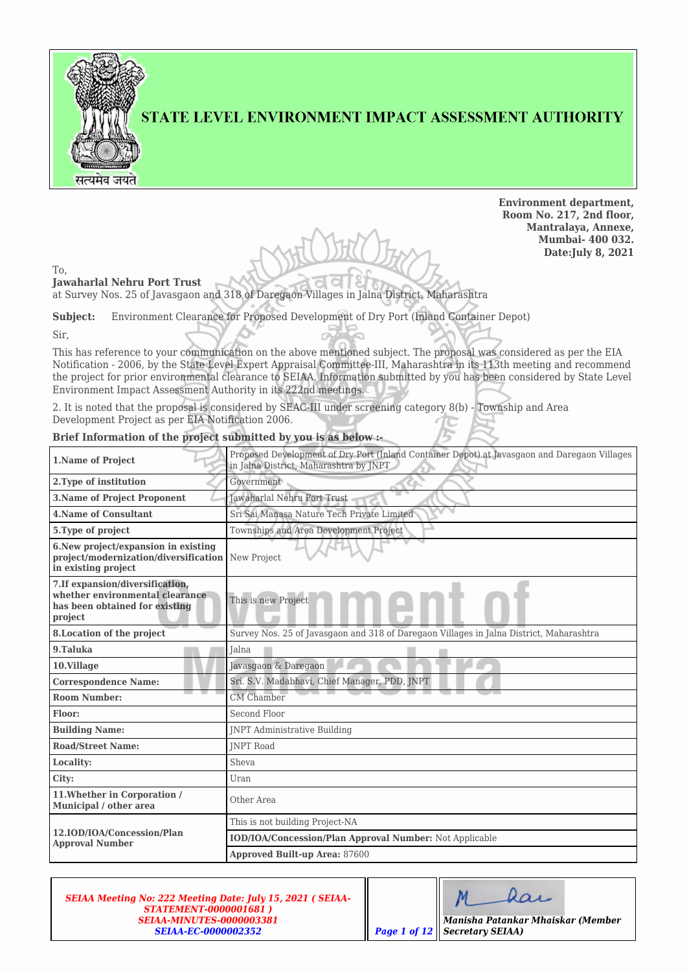

## STATE LEVEL ENVIRONMENT IMPACT ASSESSMENT AUTHORITY

**Environment department, Room No. 217, 2nd floor, Mantralaya, Annexe, Mumbai- 400 032. Date:July 8, 2021**

To,

**Jawaharlal Nehru Port Trust** at Survey Nos. 25 of Javasgaon and 318 of Daregaon Villages in Jalna District, Maharashtra

**Subject:** Environment Clearance for Proposed Development of Dry Port (Inland Container Depot)

Sir,

This has reference to your communication on the above mentioned subject. The proposal was considered as per the EIA Notification - 2006, by the State Level Expert Appraisal Committee-III, Maharashtra in its 113th meeting and recommend the project for prior environmental clearance to SEIAA. Information submitted by you has been considered by State Level Environment Impact Assessment Authority in its 222nd meetings.

2. It is noted that the proposal is considered by SEAC-III under screening category 8(b) - Township and Area Development Project as per EIA Notification 2006.

## **Brief Information of the project submitted by you is as below :-**

| 1.Name of Project                                                                                                | Proposed Development of Dry Port (Inland Container Depot) at Javasgaon and Daregaon Villages<br>in Jalna District, Maharashtra by JNPT |
|------------------------------------------------------------------------------------------------------------------|----------------------------------------------------------------------------------------------------------------------------------------|
| 2. Type of institution                                                                                           | Government                                                                                                                             |
| <b>3.Name of Project Proponent</b>                                                                               | Jawaharlal Nehru Port Trust                                                                                                            |
| <b>4.Name of Consultant</b>                                                                                      | Sri Sai Manasa Nature Tech Private Limited                                                                                             |
| 5. Type of project                                                                                               | Townships and Area Development Project                                                                                                 |
| 6. New project/expansion in existing<br>project/modernization/diversification<br>in existing project             | New Project                                                                                                                            |
| 7. If expansion/diversification,<br>whether environmental clearance<br>has been obtained for existing<br>project | This is new Project                                                                                                                    |
| 8. Location of the project                                                                                       | Survey Nos. 25 of Javasgaon and 318 of Daregaon Villages in Jalna District, Maharashtra                                                |
| 9.Taluka                                                                                                         | Jalna                                                                                                                                  |
| 10.Village                                                                                                       | Javasgaon & Daregaon                                                                                                                   |
| <b>Correspondence Name:</b>                                                                                      | Sri. S.V. Madabhavi, Chief Manager, PDD, JNPT                                                                                          |
| <b>Room Number:</b>                                                                                              | <b>CM</b> Chamber                                                                                                                      |
| Floor:                                                                                                           | Second Floor                                                                                                                           |
| <b>Building Name:</b>                                                                                            | <b>INPT Administrative Building</b>                                                                                                    |
| <b>Road/Street Name:</b>                                                                                         | <b>INPT Road</b>                                                                                                                       |
| Locality:                                                                                                        | Sheva                                                                                                                                  |
| City:                                                                                                            | Uran                                                                                                                                   |
| 11. Whether in Corporation /<br>Municipal / other area                                                           | Other Area                                                                                                                             |
|                                                                                                                  | This is not building Project-NA                                                                                                        |
| 12.IOD/IOA/Concession/Plan<br><b>Approval Number</b>                                                             | IOD/IOA/Concession/Plan Approval Number: Not Applicable                                                                                |
|                                                                                                                  | <b>Approved Built-up Area: 87600</b>                                                                                                   |

*SEIAA Meeting No: 222 Meeting Date: July 15, 2021 ( SEIAA-STATEMENT-0000001681 ) SEIAA-MINUTES-0000003381 SEIAA-EC-0000002352* 

| Manisha Patankar Mhaiskar (Member    |
|--------------------------------------|
| <b>Page 1 of 12 Secretary SEIAA)</b> |

π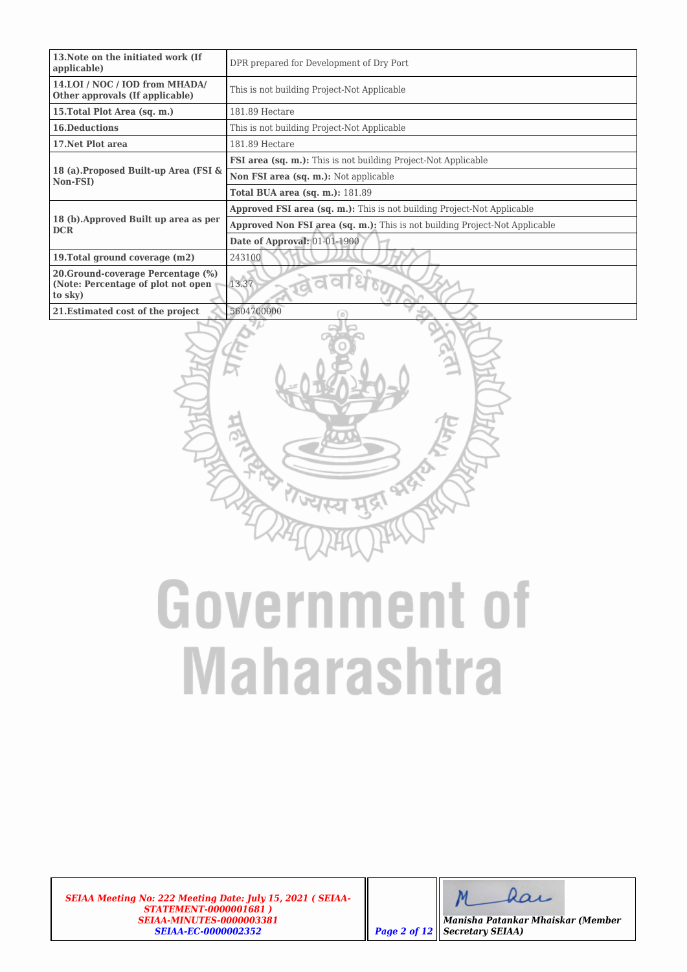| 13. Note on the initiated work (If<br>applicable)                                   | DPR prepared for Development of Dry Port                                       |
|-------------------------------------------------------------------------------------|--------------------------------------------------------------------------------|
| 14.LOI / NOC / IOD from MHADA/<br>Other approvals (If applicable)                   | This is not building Project-Not Applicable                                    |
| 15. Total Plot Area (sq. m.)                                                        | 181.89 Hectare                                                                 |
| <b>16.Deductions</b>                                                                | This is not building Project-Not Applicable                                    |
| 17. Net Plot area                                                                   | 181.89 Hectare                                                                 |
|                                                                                     | <b>FSI area (sq. m.):</b> This is not building Project-Not Applicable          |
| 18 (a). Proposed Built-up Area (FSI &<br>Non-FSI)                                   | Non FSI area (sq. m.): Not applicable                                          |
|                                                                                     | <b>Total BUA area (sq. m.): 181.89</b>                                         |
|                                                                                     | <b>Approved FSI area (sq. m.):</b> This is not building Project-Not Applicable |
| 18 (b). Approved Built up area as per<br><b>DCR</b>                                 | Approved Non FSI area (sq. m.): This is not building Project-Not Applicable    |
|                                                                                     | Date of Approval: 01-01-1900                                                   |
| 19. Total ground coverage (m2)                                                      | 243100                                                                         |
| 20. Ground-coverage Percentage (%)<br>(Note: Percentage of plot not open<br>to sky) | 13.37                                                                          |
| 21. Estimated cost of the project                                                   | 5604700000<br>$\alpha$                                                         |



# **Government of Maharashtra**

*SEIAA Meeting No: 222 Meeting Date: July 15, 2021 ( SEIAA-STATEMENT-0000001681 ) SEIAA-MINUTES-0000003381 SEIAA-EC-0000002352 Page 2 of 12*

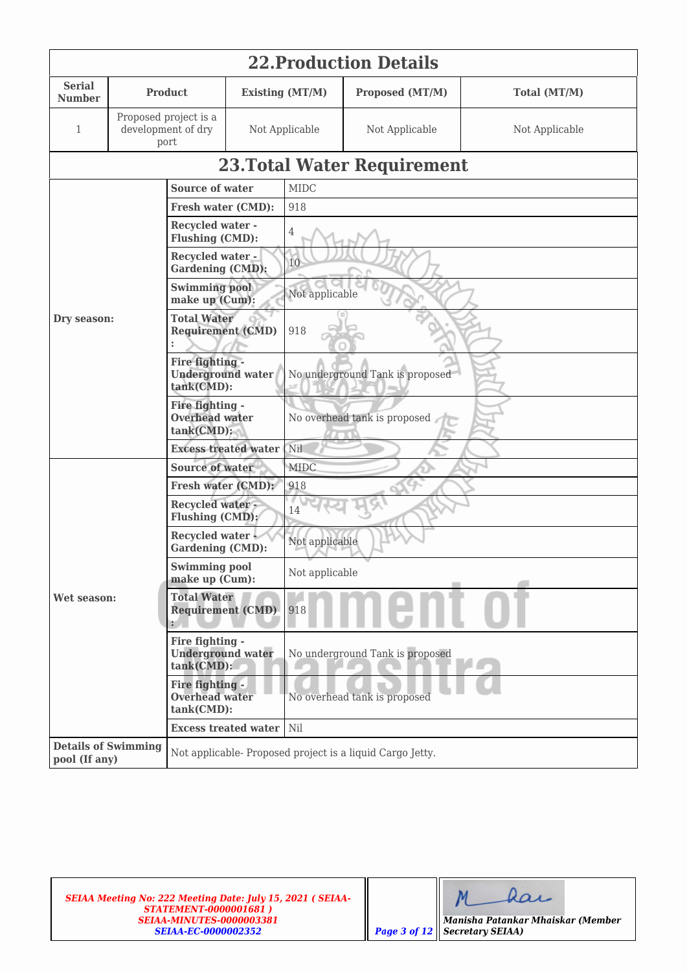|                                             | <b>22. Production Details</b>                             |                                                           |                                 |                                 |                                                          |                |  |  |  |
|---------------------------------------------|-----------------------------------------------------------|-----------------------------------------------------------|---------------------------------|---------------------------------|----------------------------------------------------------|----------------|--|--|--|
| <b>Serial</b><br><b>Number</b>              |                                                           | <b>Product</b><br>Existing (MT/M)                         |                                 |                                 | Proposed (MT/M)                                          | Total (MT/M)   |  |  |  |
| 1                                           | Proposed project is a<br>development of dry<br>port       |                                                           | Not Applicable                  |                                 | Not Applicable                                           | Not Applicable |  |  |  |
|                                             |                                                           |                                                           |                                 |                                 | <b>23. Total Water Requirement</b>                       |                |  |  |  |
|                                             |                                                           | <b>Source of water</b>                                    |                                 | <b>MIDC</b>                     |                                                          |                |  |  |  |
|                                             |                                                           | Fresh water (CMD):                                        |                                 | 918                             |                                                          |                |  |  |  |
|                                             |                                                           | <b>Recycled water -</b><br>Flushing (CMD):                |                                 | 4                               |                                                          |                |  |  |  |
|                                             |                                                           | <b>Recycled water -</b><br><b>Gardening (CMD):</b>        |                                 | 10                              |                                                          |                |  |  |  |
|                                             |                                                           | <b>Swimming pool</b><br>make up (Cum):                    |                                 | Not applicable                  |                                                          |                |  |  |  |
| Dry season:                                 |                                                           | <b>Total Water</b><br><b>Requirement (CMD)</b>            |                                 | 918                             |                                                          |                |  |  |  |
|                                             |                                                           | Fire fighting -<br><b>Underground water</b><br>tank(CMD): |                                 | No underground Tank is proposed |                                                          |                |  |  |  |
|                                             |                                                           | Fire fighting -<br><b>Overhead water</b><br>$tank(CMD)$ : |                                 | No overhead tank is proposed    |                                                          |                |  |  |  |
|                                             |                                                           |                                                           | <b>Excess treated water</b>     | Nil                             |                                                          |                |  |  |  |
|                                             |                                                           | <b>Source of water</b>                                    |                                 | <b>MIDC</b>                     |                                                          |                |  |  |  |
|                                             |                                                           | Fresh water (CMD):                                        |                                 | 918                             |                                                          |                |  |  |  |
|                                             |                                                           | <b>Recycled water-</b><br>Flushing (CMD):                 |                                 | 14                              |                                                          |                |  |  |  |
|                                             |                                                           | Recycled water<br><b>Gardening (CMD):</b>                 |                                 | Not applicable                  |                                                          |                |  |  |  |
|                                             |                                                           | <b>Swimming pool</b><br>make up (Cum):                    |                                 | Not applicable                  |                                                          |                |  |  |  |
| Wet season:                                 |                                                           | <b>Total Water</b><br><b>Requirement (CMD)</b><br>÷.      |                                 | 918                             |                                                          |                |  |  |  |
|                                             | Fire fighting -<br><b>Underground water</b><br>tank(CMD): |                                                           | No underground Tank is proposed |                                 |                                                          |                |  |  |  |
|                                             |                                                           | Fire fighting -<br><b>Overhead water</b><br>tank(CMD):    |                                 | No overhead tank is proposed    |                                                          |                |  |  |  |
|                                             |                                                           |                                                           | <b>Excess treated water</b>     | Nil                             |                                                          |                |  |  |  |
| <b>Details of Swimming</b><br>pool (If any) |                                                           |                                                           |                                 |                                 | Not applicable-Proposed project is a liquid Cargo Jetty. |                |  |  |  |

 $M$ dar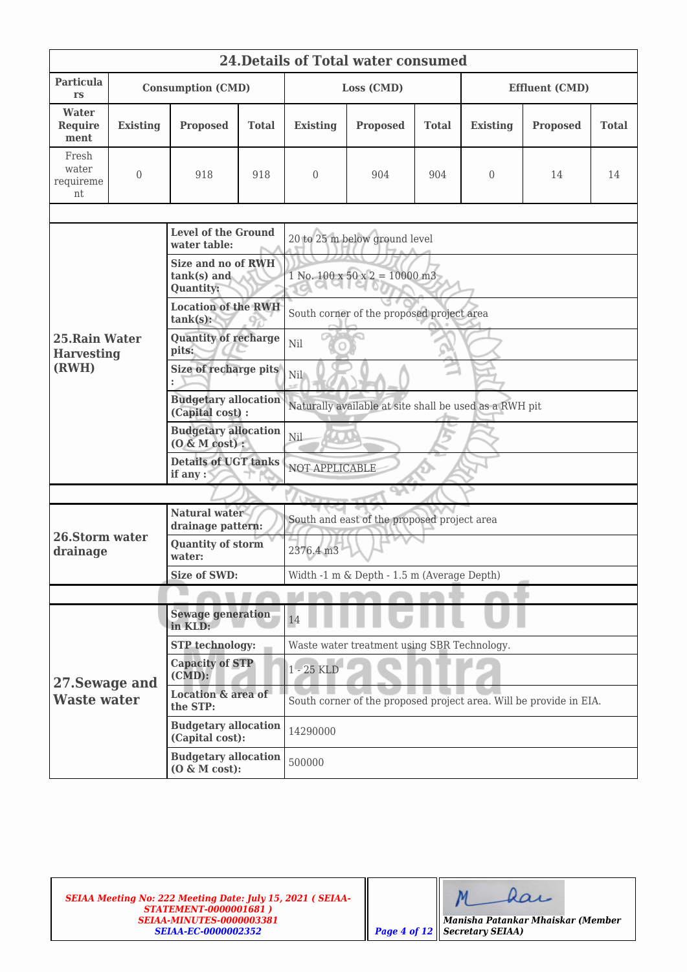|                                              | <b>24. Details of Total water consumed</b> |                                                                         |              |                                                                    |                                             |              |                       |                 |              |  |  |
|----------------------------------------------|--------------------------------------------|-------------------------------------------------------------------------|--------------|--------------------------------------------------------------------|---------------------------------------------|--------------|-----------------------|-----------------|--------------|--|--|
| Particula<br>rs                              |                                            | <b>Consumption (CMD)</b>                                                |              | Loss (CMD)                                                         |                                             |              | <b>Effluent (CMD)</b> |                 |              |  |  |
| Water<br><b>Require</b><br>ment              | <b>Existing</b>                            | <b>Proposed</b>                                                         | <b>Total</b> | <b>Existing</b>                                                    | <b>Proposed</b>                             | <b>Total</b> | <b>Existing</b>       | <b>Proposed</b> | <b>Total</b> |  |  |
| Fresh<br>water<br>requireme<br>nt            | $\overline{0}$                             | 918<br>918                                                              |              | $\theta$                                                           | 904                                         | 904          | 0                     | 14              | 14           |  |  |
|                                              |                                            | <b>Level of the Ground</b>                                              |              | 20 to 25 m below ground level                                      |                                             |              |                       |                 |              |  |  |
|                                              |                                            | water table:<br>Size and no of RWH<br>$tank(s)$ and<br><b>Quantity:</b> |              |                                                                    | $1$ No. $100 \times 50 \times 2 = 10000$ m3 |              |                       |                 |              |  |  |
|                                              |                                            | <b>Location of the RWH</b><br>$tank(s)$ :                               |              |                                                                    | South corner of the proposed project area   |              |                       |                 |              |  |  |
| 25. Rain Water<br><b>Harvesting</b><br>(RWH) |                                            | <b>Quantity of recharge</b><br>pits:                                    |              | <b>CALLED</b><br>Nil                                               |                                             |              |                       |                 |              |  |  |
|                                              |                                            | Size of recharge pits                                                   |              | Nil \                                                              |                                             |              |                       |                 |              |  |  |
|                                              |                                            | <b>Budgetary allocation</b><br>(Capital cost) :                         |              | Naturally available at site shall be used as a RWH pit             |                                             |              |                       |                 |              |  |  |
|                                              |                                            | <b>Budgetary allocation</b><br>$(0 \& M cost):$                         |              | Nil                                                                |                                             |              |                       |                 |              |  |  |
|                                              |                                            | <b>Details of UGT tanks</b><br>if any :                                 |              | NOT APPLICABLE                                                     |                                             |              |                       |                 |              |  |  |
|                                              |                                            |                                                                         |              |                                                                    |                                             |              |                       |                 |              |  |  |
|                                              |                                            | <b>Natural water</b><br>drainage pattern:                               |              | South and east of the proposed project area                        |                                             |              |                       |                 |              |  |  |
| 26.Storm water<br>drainage                   |                                            | <b>Quantity of storm</b><br>water:                                      |              | 2376.4 m3                                                          |                                             |              |                       |                 |              |  |  |
|                                              |                                            | <b>Size of SWD:</b>                                                     |              | Width -1 m & Depth - 1.5 m (Average Depth)                         |                                             |              |                       |                 |              |  |  |
|                                              |                                            |                                                                         |              |                                                                    |                                             |              |                       |                 |              |  |  |
|                                              |                                            | <b>Sewage generation</b><br>in KLD:                                     |              | 14                                                                 |                                             |              |                       |                 |              |  |  |
|                                              |                                            | <b>STP</b> technology:                                                  |              | Waste water treatment using SBR Technology.                        |                                             |              |                       |                 |              |  |  |
| 27. Sewage and                               |                                            | <b>Capacity of STP</b><br>$(CMD)$ :                                     |              | 1 - 25 KLD                                                         |                                             |              |                       |                 |              |  |  |
| <b>Waste water</b>                           |                                            | <b>Location &amp; area of</b><br>the STP:                               |              | South corner of the proposed project area. Will be provide in EIA. |                                             |              |                       |                 |              |  |  |
|                                              |                                            | <b>Budgetary allocation</b><br>(Capital cost):                          |              | 14290000                                                           |                                             |              |                       |                 |              |  |  |
|                                              |                                            | <b>Budgetary allocation</b><br>$(0 \& M cost):$                         |              | 500000                                                             |                                             |              |                       |                 |              |  |  |

dar  $M$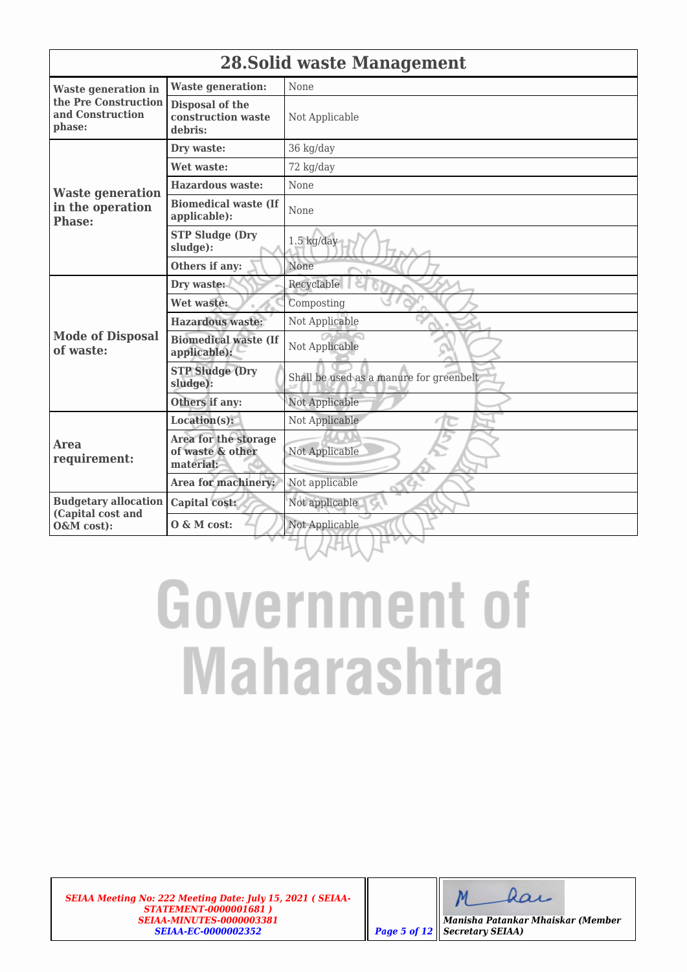|                                                    | <b>28. Solid waste Management</b>                     |                                         |  |  |  |
|----------------------------------------------------|-------------------------------------------------------|-----------------------------------------|--|--|--|
| <b>Waste generation in</b>                         | <b>Waste generation:</b>                              | None                                    |  |  |  |
| the Pre Construction<br>and Construction<br>phase: | Disposal of the<br>construction waste<br>debris:      | Not Applicable                          |  |  |  |
|                                                    | Dry waste:                                            | 36 kg/day                               |  |  |  |
|                                                    | Wet waste:                                            | 72 kg/day                               |  |  |  |
| <b>Waste generation</b>                            | <b>Hazardous waste:</b>                               | None                                    |  |  |  |
| in the operation<br><b>Phase:</b>                  | <b>Biomedical waste (If</b><br>applicable):           | None                                    |  |  |  |
|                                                    | <b>STP Sludge (Dry</b><br>sludge):                    | $1.5$ kg/day                            |  |  |  |
|                                                    | Others if any:                                        | None                                    |  |  |  |
|                                                    | Dry waste:                                            | Recyclable                              |  |  |  |
|                                                    | Wet waste:                                            | Composting                              |  |  |  |
|                                                    | <b>Hazardous waste:</b>                               | Not Applicable                          |  |  |  |
| <b>Mode of Disposal</b><br>of waste:               | <b>Biomedical waste (If</b><br>applicable):           | Not Applicable                          |  |  |  |
|                                                    | <b>STP Sludge (Dry</b><br>sludge):                    | Shall be used as a manure for greenbelt |  |  |  |
|                                                    | Others if any:                                        | Not Applicable                          |  |  |  |
|                                                    | Location(s):                                          | Not Applicable                          |  |  |  |
| Area<br>requirement:                               | Area for the storage<br>of waste & other<br>material: | Not Applicable                          |  |  |  |
|                                                    | Area for machinery:                                   | Not applicable                          |  |  |  |
| <b>Budgetary allocation</b>                        | Capital cost:                                         | Not applicable                          |  |  |  |
| (Capital cost and<br>O&M cost):                    | $0 \& M cost:$                                        | Not Applicable                          |  |  |  |
|                                                    |                                                       |                                         |  |  |  |

# **Government of Maharashtra**

*SEIAA Meeting No: 222 Meeting Date: July 15, 2021 ( SEIAA-STATEMENT-0000001681 ) SEIAA-MINUTES-0000003381 SEIAA-EC-0000002352 Page 5 of 12*

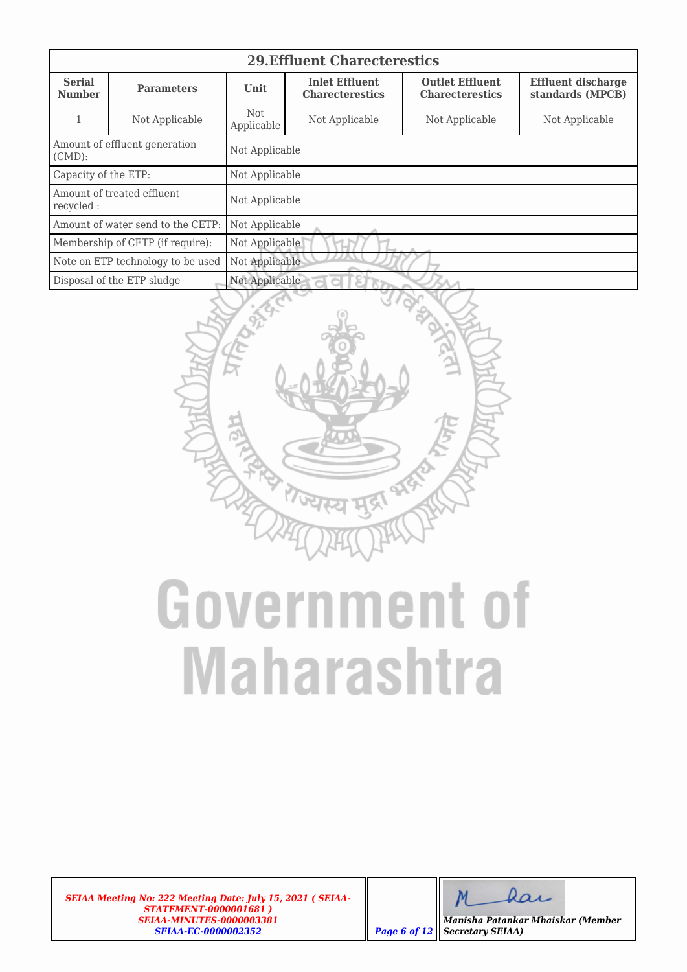| <b>29. Effluent Charecterestics</b>     |                                   |                          |                                                                                                                                                      |                |                |  |  |  |  |
|-----------------------------------------|-----------------------------------|--------------------------|------------------------------------------------------------------------------------------------------------------------------------------------------|----------------|----------------|--|--|--|--|
| <b>Serial</b><br><b>Number</b>          | <b>Parameters</b>                 | <b>Unit</b>              | <b>Outlet Effluent</b><br><b>Inlet Effluent</b><br><b>Effluent discharge</b><br>standards (MPCB)<br><b>Charecterestics</b><br><b>Charecterestics</b> |                |                |  |  |  |  |
|                                         | Not Applicable                    | <b>Not</b><br>Applicable | Not Applicable                                                                                                                                       | Not Applicable | Not Applicable |  |  |  |  |
| $(CMD)$ :                               | Amount of effluent generation     | Not Applicable           |                                                                                                                                                      |                |                |  |  |  |  |
| Capacity of the ETP:                    |                                   | Not Applicable           |                                                                                                                                                      |                |                |  |  |  |  |
| Amount of treated effluent<br>recycled: |                                   | Not Applicable           |                                                                                                                                                      |                |                |  |  |  |  |
|                                         | Amount of water send to the CETP: | Not Applicable           |                                                                                                                                                      |                |                |  |  |  |  |
| Membership of CETP (if require):        |                                   | Not Applicable           |                                                                                                                                                      |                |                |  |  |  |  |
|                                         | Note on ETP technology to be used | Not Applicable           |                                                                                                                                                      |                |                |  |  |  |  |
|                                         | Disposal of the ETP sludge        | Not Applicable<br>d      |                                                                                                                                                      |                |                |  |  |  |  |



# **Government of Maharashtra**

*SEIAA Meeting No: 222 Meeting Date: July 15, 2021 ( SEIAA-STATEMENT-0000001681 ) SEIAA-MINUTES-0000003381 SEIAA-EC-0000002352 Page 6 of 12*

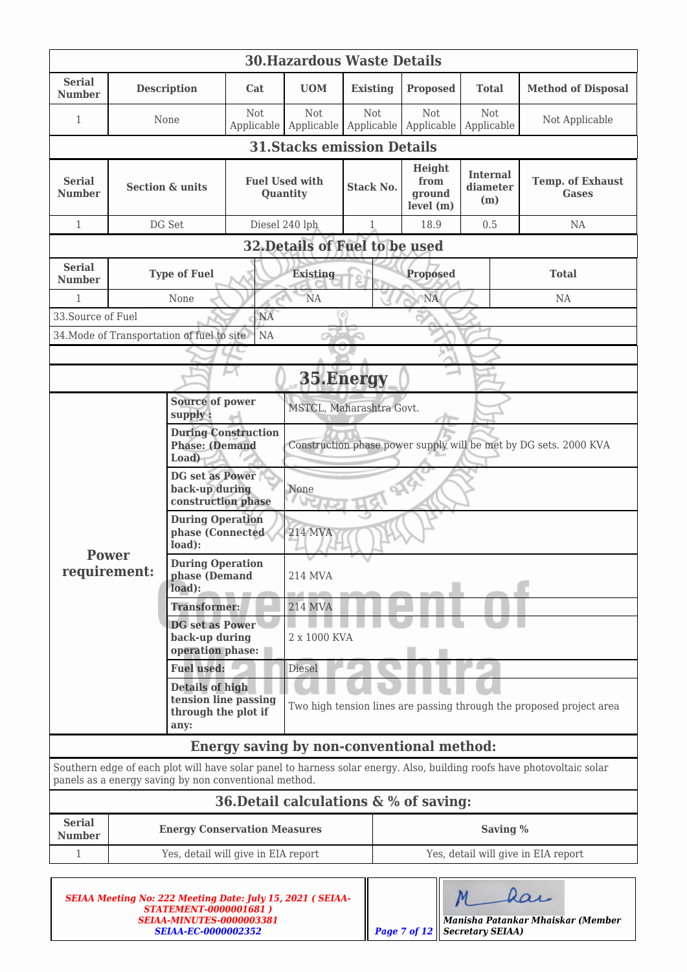| <b>30. Hazardous Waste Details</b> |                                                                               |                                                              |                                                              |                                                                      |                                                                  |                                            |                                    |                                                                                                                        |  |  |
|------------------------------------|-------------------------------------------------------------------------------|--------------------------------------------------------------|--------------------------------------------------------------|----------------------------------------------------------------------|------------------------------------------------------------------|--------------------------------------------|------------------------------------|------------------------------------------------------------------------------------------------------------------------|--|--|
| <b>Serial</b><br><b>Number</b>     |                                                                               | <b>Description</b>                                           | <b>UOM</b><br>Cat                                            |                                                                      | <b>Existing</b>                                                  | <b>Proposed</b>                            | <b>Total</b>                       | <b>Method of Disposal</b>                                                                                              |  |  |
| 1                                  |                                                                               | None                                                         | Not<br>Applicable                                            | <b>Not</b><br>Applicable                                             | Not<br>Applicable                                                | Not<br>Applicable                          | Not<br>Applicable                  | Not Applicable                                                                                                         |  |  |
|                                    | <b>31. Stacks emission Details</b>                                            |                                                              |                                                              |                                                                      |                                                                  |                                            |                                    |                                                                                                                        |  |  |
| <b>Serial</b><br><b>Number</b>     | <b>Section &amp; units</b>                                                    |                                                              | <b>Fuel Used with</b><br>Quantity                            |                                                                      | <b>Stack No.</b>                                                 | Height<br>from<br>ground<br>level (m)      | <b>Internal</b><br>diameter<br>(m) | <b>Temp. of Exhaust</b><br><b>Gases</b>                                                                                |  |  |
| $\mathbf{1}$                       |                                                                               | DG Set                                                       | Diesel 240 lph                                               |                                                                      | $\mathbf{1}$                                                     | 18.9                                       | 0.5                                | NA                                                                                                                     |  |  |
|                                    |                                                                               |                                                              |                                                              | 32. Details of Fuel to be used                                       |                                                                  |                                            |                                    |                                                                                                                        |  |  |
| <b>Serial</b><br><b>Number</b>     |                                                                               | <b>Type of Fuel</b>                                          |                                                              | <b>Existing</b>                                                      |                                                                  | <b>Proposed</b>                            |                                    | <b>Total</b>                                                                                                           |  |  |
| $\mathbf{1}$                       |                                                                               | None                                                         |                                                              | <b>NA</b>                                                            |                                                                  | <b>NA</b>                                  |                                    | NA                                                                                                                     |  |  |
| 33. Source of Fuel                 |                                                                               |                                                              | <b>NA</b>                                                    |                                                                      | $\alpha$                                                         |                                            |                                    |                                                                                                                        |  |  |
|                                    |                                                                               | 34. Mode of Transportation of fuel to site                   | <b>NA</b>                                                    |                                                                      |                                                                  |                                            |                                    |                                                                                                                        |  |  |
|                                    |                                                                               |                                                              |                                                              |                                                                      | 35.Energy                                                        |                                            |                                    |                                                                                                                        |  |  |
|                                    |                                                                               | <b>Source of power</b><br>supply:                            |                                                              | MSTCL, Maharashtra Govt.                                             |                                                                  |                                            |                                    |                                                                                                                        |  |  |
|                                    |                                                                               |                                                              | <b>During Construction</b><br><b>Phase: (Demand</b><br>Load) |                                                                      | Construction phase power supply will be met by DG sets. 2000 KVA |                                            |                                    |                                                                                                                        |  |  |
|                                    |                                                                               | DG set as Power<br>back-up during<br>construction phase      |                                                              | None                                                                 |                                                                  |                                            |                                    |                                                                                                                        |  |  |
|                                    |                                                                               | <b>During Operation</b><br>phase (Connected<br>load):        |                                                              | <b>214 MVA</b>                                                       |                                                                  |                                            |                                    |                                                                                                                        |  |  |
| <b>Power</b><br>requirement:       |                                                                               | <b>During Operation</b><br>phase (Demand<br>load):           |                                                              | 214 MVA                                                              |                                                                  |                                            |                                    |                                                                                                                        |  |  |
|                                    |                                                                               | <b>Transformer:</b>                                          |                                                              | <b>214 MVA</b>                                                       |                                                                  |                                            |                                    |                                                                                                                        |  |  |
|                                    |                                                                               | <b>DG</b> set as Power<br>back-up during<br>operation phase: |                                                              | 2 x 1000 KVA                                                         |                                                                  |                                            |                                    |                                                                                                                        |  |  |
|                                    |                                                                               | <b>Fuel used:</b>                                            |                                                              | Diesel                                                               |                                                                  |                                            |                                    |                                                                                                                        |  |  |
|                                    | <b>Details of high</b><br>tension line passing<br>through the plot if<br>any: |                                                              |                                                              | Two high tension lines are passing through the proposed project area |                                                                  |                                            |                                    |                                                                                                                        |  |  |
|                                    |                                                                               |                                                              |                                                              |                                                                      |                                                                  | Energy saving by non-conventional method:  |                                    |                                                                                                                        |  |  |
|                                    |                                                                               | panels as a energy saving by non conventional method.        |                                                              |                                                                      |                                                                  |                                            |                                    | Southern edge of each plot will have solar panel to harness solar energy. Also, building roofs have photovoltaic solar |  |  |
|                                    |                                                                               |                                                              |                                                              |                                                                      |                                                                  | 36. Detail calculations $\& \%$ of saving: |                                    |                                                                                                                        |  |  |
| <b>Serial</b><br><b>Number</b>     |                                                                               | <b>Energy Conservation Measures</b>                          |                                                              |                                                                      |                                                                  |                                            | Saving %                           |                                                                                                                        |  |  |
| $\mathbf{1}$                       |                                                                               | Yes, detail will give in EIA report                          |                                                              |                                                                      |                                                                  |                                            |                                    | Yes, detail will give in EIA report                                                                                    |  |  |
|                                    |                                                                               |                                                              |                                                              |                                                                      |                                                                  |                                            |                                    |                                                                                                                        |  |  |

| <b>SEIAA Meeting No: 222 Meeting Date: July 15, 2021 (SEIAA-</b><br><b>STATEMENT-0000001681)</b> |                                                 |
|--------------------------------------------------------------------------------------------------|-------------------------------------------------|
| SEIAA-MINUTES-0000003381                                                                         | Manisha Patankar Mhaiskar (Member               |
| <i><b>SEIAA-EC-0000002352</b></i>                                                                | <b>Page 7 of 12</b>    <b>Secretary SEIAA</b> ) |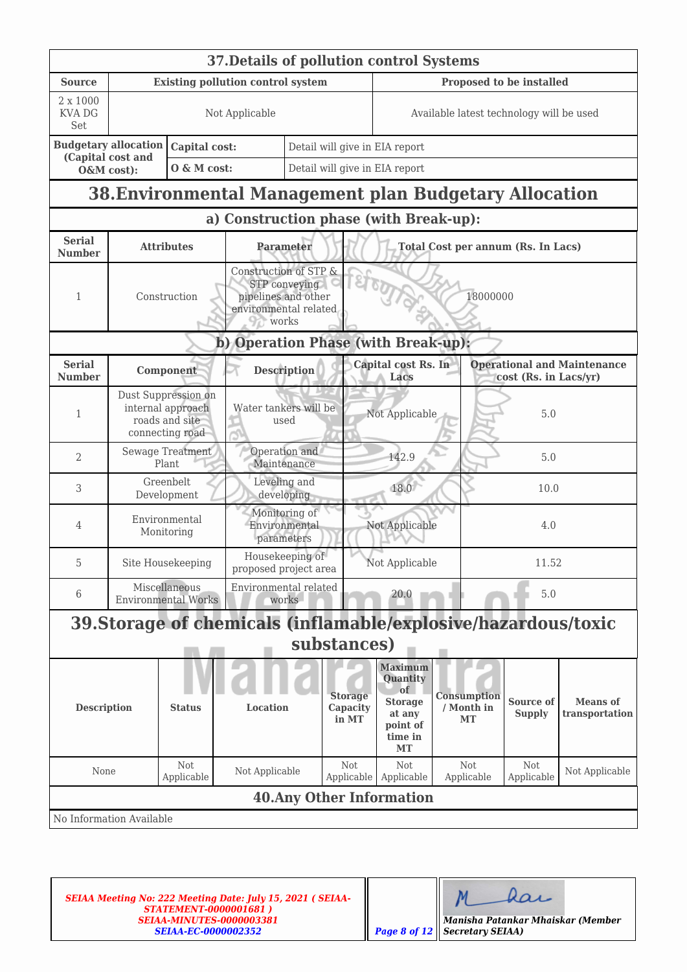|                                  | 37. Details of pollution control Systems |                                                                               |                                                                |                                                                                                             |                                                 |                                                                                                             |                                 |                   |                                           |                                    |  |  |
|----------------------------------|------------------------------------------|-------------------------------------------------------------------------------|----------------------------------------------------------------|-------------------------------------------------------------------------------------------------------------|-------------------------------------------------|-------------------------------------------------------------------------------------------------------------|---------------------------------|-------------------|-------------------------------------------|------------------------------------|--|--|
| <b>Source</b>                    |                                          |                                                                               | <b>Existing pollution control system</b>                       |                                                                                                             |                                                 | Proposed to be installed                                                                                    |                                 |                   |                                           |                                    |  |  |
| 2 x 1000<br><b>KVA DG</b><br>Set |                                          | Not Applicable                                                                |                                                                | Available latest technology will be used                                                                    |                                                 |                                                                                                             |                                 |                   |                                           |                                    |  |  |
|                                  | <b>Budgetary allocation</b>              | Capital cost:                                                                 |                                                                |                                                                                                             | Detail will give in EIA report                  |                                                                                                             |                                 |                   |                                           |                                    |  |  |
| O&M cost):                       | (Capital cost and                        | O & M cost:                                                                   |                                                                | Detail will give in EIA report                                                                              |                                                 |                                                                                                             |                                 |                   |                                           |                                    |  |  |
|                                  |                                          |                                                                               | 38. Environmental Management plan Budgetary Allocation         |                                                                                                             |                                                 |                                                                                                             |                                 |                   |                                           |                                    |  |  |
|                                  |                                          |                                                                               | a) Construction phase (with Break-up):                         |                                                                                                             |                                                 |                                                                                                             |                                 |                   |                                           |                                    |  |  |
| <b>Serial</b><br><b>Number</b>   |                                          | <b>Attributes</b>                                                             |                                                                | Parameter                                                                                                   |                                                 |                                                                                                             |                                 |                   | <b>Total Cost per annum (Rs. In Lacs)</b> |                                    |  |  |
| 1                                |                                          | Construction                                                                  |                                                                | Construction of STP &<br>STP conveying<br>18000000<br>pipelines and other<br>environmental related<br>works |                                                 |                                                                                                             |                                 |                   |                                           |                                    |  |  |
|                                  |                                          |                                                                               | b) Operation Phase (with Break-up):                            |                                                                                                             |                                                 |                                                                                                             |                                 |                   |                                           |                                    |  |  |
| <b>Serial</b><br><b>Number</b>   |                                          | Component                                                                     |                                                                | <b>Description</b>                                                                                          |                                                 | Capital cost Rs. In<br>Lacs                                                                                 |                                 |                   | cost (Rs. in Lacs/yr)                     | <b>Operational and Maintenance</b> |  |  |
| $\mathbf{1}$                     |                                          | Dust Suppression on<br>internal approach<br>roads and site<br>connecting road |                                                                |                                                                                                             | Water tankers will be<br>Not Applicable<br>used |                                                                                                             |                                 |                   |                                           | 5.0                                |  |  |
| 2                                |                                          | Sewage Treatment<br>Plant                                                     |                                                                | Operation and<br>Maintenance                                                                                | 142.9                                           |                                                                                                             |                                 | 5.0               |                                           |                                    |  |  |
| 3                                |                                          | Greenbelt<br>Development                                                      |                                                                | Leveling and<br>18.0<br>developing                                                                          |                                                 |                                                                                                             |                                 | 10.0              |                                           |                                    |  |  |
| 4                                |                                          | Environmental<br>Monitoring                                                   |                                                                | Monitoring of<br>Environmental<br>parameters                                                                |                                                 | Not Applicable                                                                                              |                                 | 4.0               |                                           |                                    |  |  |
| 5                                |                                          | Site Housekeeping                                                             |                                                                | Housekeeping of<br>11.52<br>Not Applicable<br>proposed project area                                         |                                                 |                                                                                                             |                                 |                   |                                           |                                    |  |  |
| 6                                | <b>Environmental Works</b>               | Miscellaneous                                                                 | Environmental related                                          | works                                                                                                       |                                                 | 20.0                                                                                                        |                                 |                   | 5.0                                       |                                    |  |  |
|                                  |                                          |                                                                               | 39. Storage of chemicals (inflamable/explosive/hazardous/toxic |                                                                                                             |                                                 |                                                                                                             |                                 |                   |                                           |                                    |  |  |
|                                  |                                          |                                                                               |                                                                | substances)                                                                                                 |                                                 |                                                                                                             |                                 |                   |                                           |                                    |  |  |
| <b>Description</b>               |                                          | <b>Status</b>                                                                 |                                                                | <b>Storage</b><br>Location<br>Capacity<br>in MT                                                             |                                                 | <b>Maximum</b><br>Quantity<br><sub>of</sub><br><b>Storage</b><br>at any<br>point of<br>time in<br><b>MT</b> | Consumption<br>/ Month in<br>MT |                   | Source of<br><b>Supply</b>                | <b>Means</b> of<br>transportation  |  |  |
| None                             |                                          | Not<br>Applicable                                                             | Not Applicable                                                 |                                                                                                             | Not<br>Applicable                               | Not<br>Applicable                                                                                           |                                 | Not<br>Applicable | Not<br>Applicable                         | Not Applicable                     |  |  |
|                                  |                                          |                                                                               |                                                                |                                                                                                             |                                                 | <b>40. Any Other Information</b>                                                                            |                                 |                   |                                           |                                    |  |  |
|                                  | No Information Available                 |                                                                               |                                                                |                                                                                                             |                                                 |                                                                                                             |                                 |                   |                                           |                                    |  |  |

dar  $M$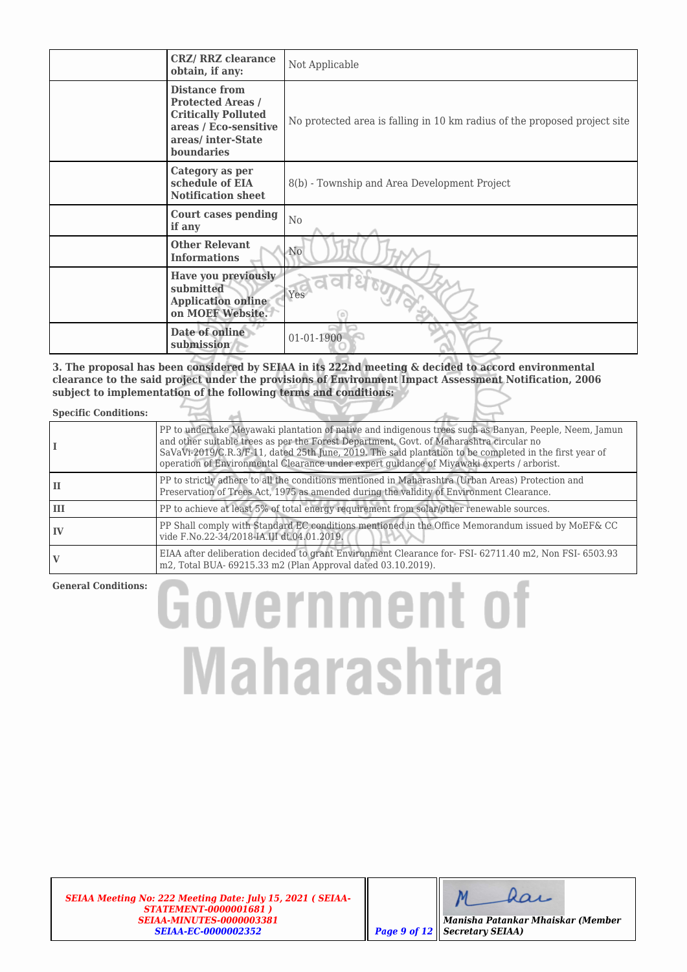| <b>CRZ/ RRZ clearance</b><br>obtain, if any:                                                                                               | Not Applicable                                                            |
|--------------------------------------------------------------------------------------------------------------------------------------------|---------------------------------------------------------------------------|
| <b>Distance from</b><br><b>Protected Areas /</b><br><b>Critically Polluted</b><br>areas / Eco-sensitive<br>areas/inter-State<br>boundaries | No protected area is falling in 10 km radius of the proposed project site |
| Category as per<br>schedule of EIA<br><b>Notification sheet</b>                                                                            | 8(b) - Township and Area Development Project                              |
| <b>Court cases pending</b><br>if any                                                                                                       | N <sub>0</sub>                                                            |
| <b>Other Relevant</b><br><b>Informations</b>                                                                                               | N <sub>0</sub>                                                            |
| Have you previously<br>submitted<br><b>Application online</b><br>on MOEF Website.                                                          | Yes                                                                       |
| Date of online<br>submission                                                                                                               | 01-01-1900                                                                |

**3. The proposal has been considered by SEIAA in its 222nd meeting & decided to accord environmental clearance to the said project under the provisions of Environment Impact Assessment Notification, 2006 subject to implementation of the following terms and conditions:**

## **Specific Conditions:**

|    | PP to undertake Meyawaki plantation of native and indigenous trees such as Banyan, Peeple, Neem, Jamun<br>and other suitable trees as per the Forest Department, Govt. of Maharashtra circular no<br>SaVaVi-2019/C.R.3/F-11, dated 25th June, 2019. The said plantation to be completed in the first year of<br>operation of Environmental Clearance under expert quidance of Miyawaki experts / arborist. |
|----|------------------------------------------------------------------------------------------------------------------------------------------------------------------------------------------------------------------------------------------------------------------------------------------------------------------------------------------------------------------------------------------------------------|
| ш  | PP to strictly adhere to all the conditions mentioned in Maharashtra (Urban Areas) Protection and<br>Preservation of Trees Act, 1975 as amended during the validity of Environment Clearance.                                                                                                                                                                                                              |
| Ш  | PP to achieve at least 5% of total energy requirement from solar/other renewable sources.                                                                                                                                                                                                                                                                                                                  |
| IV | PP Shall comply with Standard EC conditions mentioned in the Office Memorandum issued by MoEF& CC<br>vide F.No.22-34/2018-IA.III dt.04.01.2019.                                                                                                                                                                                                                                                            |
|    | EIAA after deliberation decided to grant Environment Clearance for-FSI-62711.40 m2, Non FSI-6503.93<br>m2, Total BUA- 69215.33 m2 (Plan Approval dated 03.10.2019).                                                                                                                                                                                                                                        |

## **General Conditions:**

# **Government of Maharashtra**

*SEIAA Meeting No: 222 Meeting Date: July 15, 2021 ( SEIAA-STATEMENT-0000001681 ) SEIAA-MINUTES-0000003381 SEIAA-EC-0000002352 Page 9 of 12*

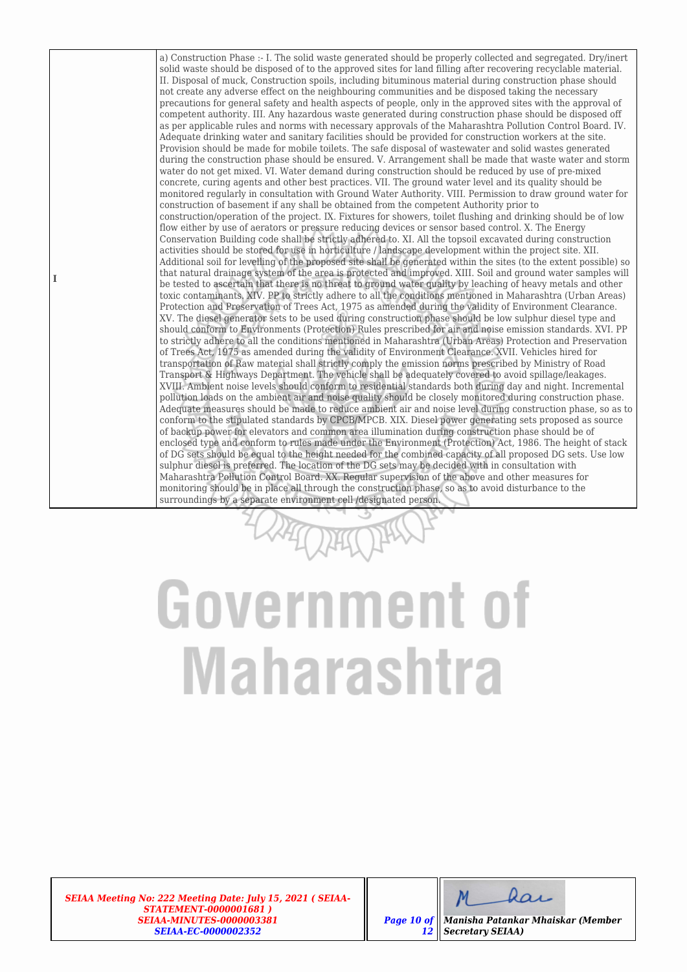a) Construction Phase :- I. The solid waste generated should be properly collected and segregated. Dry/inert solid waste should be disposed of to the approved sites for land filling after recovering recyclable material. II. Disposal of muck, Construction spoils, including bituminous material during construction phase should not create any adverse effect on the neighbouring communities and be disposed taking the necessary precautions for general safety and health aspects of people, only in the approved sites with the approval of competent authority. III. Any hazardous waste generated during construction phase should be disposed off as per applicable rules and norms with necessary approvals of the Maharashtra Pollution Control Board. IV. Adequate drinking water and sanitary facilities should be provided for construction workers at the site. Provision should be made for mobile toilets. The safe disposal of wastewater and solid wastes generated during the construction phase should be ensured. V. Arrangement shall be made that waste water and storm water do not get mixed. VI. Water demand during construction should be reduced by use of pre-mixed concrete, curing agents and other best practices. VII. The ground water level and its quality should be monitored regularly in consultation with Ground Water Authority. VIII. Permission to draw ground water for construction of basement if any shall be obtained from the competent Authority prior to construction/operation of the project. IX. Fixtures for showers, toilet flushing and drinking should be of low flow either by use of aerators or pressure reducing devices or sensor based control. X. The Energy Conservation Building code shall be strictly adhered to. XI. All the topsoil excavated during construction activities should be stored for use in horticulture / landscape development within the project site. XII. Additional soil for levelling of the proposed site shall be generated within the sites (to the extent possible) so that natural drainage system of the area is protected and improved. XIII. Soil and ground water samples will be tested to ascertain that there is no threat to ground water quality by leaching of heavy metals and other toxic contaminants. XIV. PP to strictly adhere to all the conditions mentioned in Maharashtra (Urban Areas) Protection and Preservation of Trees Act, 1975 as amended during the validity of Environment Clearance. XV. The diesel generator sets to be used during construction phase should be low sulphur diesel type and should conform to Environments (Protection) Rules prescribed for air and noise emission standards. XVI. PP to strictly adhere to all the conditions mentioned in Maharashtra (Urban Areas) Protection and Preservation of Trees Act, 1975 as amended during the validity of Environment Clearance. XVII. Vehicles hired for transportation of Raw material shall strictly comply the emission norms prescribed by Ministry of Road Transport & Highways Department. The vehicle shall be adequately covered to avoid spillage/leakages. XVIII. Ambient noise levels should conform to residential standards both during day and night. Incremental pollution loads on the ambient air and noise quality should be closely monitored during construction phase. Adequate measures should be made to reduce ambient air and noise level during construction phase, so as to conform to the stipulated standards by CPCB/MPCB. XIX. Diesel power generating sets proposed as source of backup power for elevators and common area illumination during construction phase should be of enclosed type and conform to rules made under the Environment (Protection) Act, 1986. The height of stack of DG sets should be equal to the height needed for the combined capacity of all proposed DG sets. Use low sulphur diesel is preferred. The location of the DG sets may be decided with in consultation with Maharashtra Pollution Control Board. XX. Regular supervision of the above and other measures for monitoring should be in place all through the construction phase, so as to avoid disturbance to the surroundings by a separate environment cell /designated person.

## Government of **Maharashtra**

*SEIAA Meeting No: 222 Meeting Date: July 15, 2021 ( SEIAA-STATEMENT-0000001681 ) SEIAA-MINUTES-0000003381 SEIAA-EC-0000002352*

**I**



*Page 10 of 12 Manisha Patankar Mhaiskar (Member Secretary SEIAA)*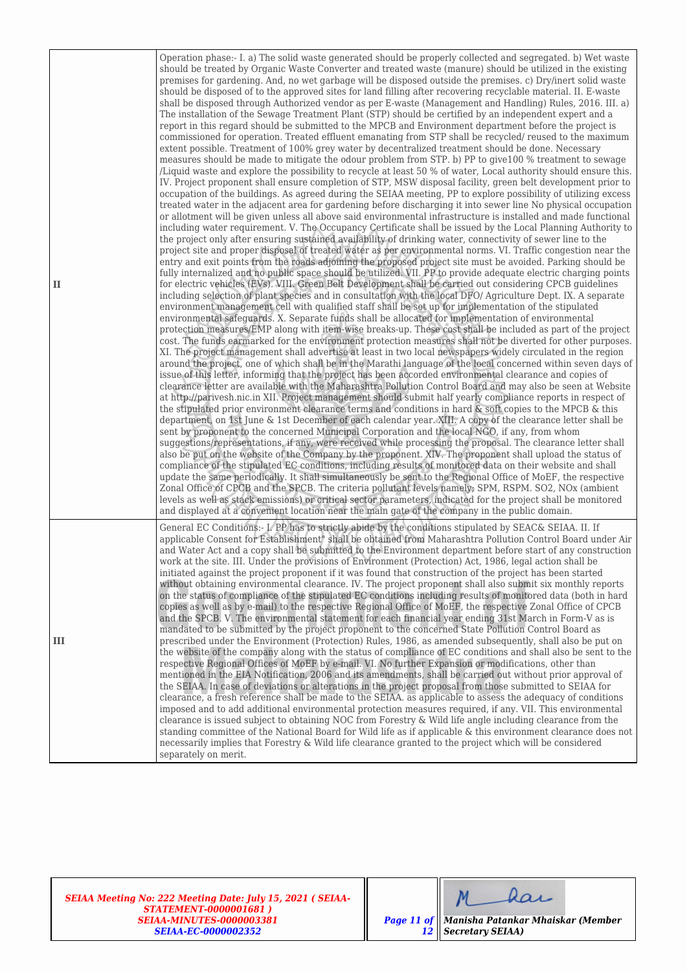| $\mathbf{I}$ | Operation phase:- I. a) The solid waste generated should be properly collected and segregated. b) Wet waste<br>should be treated by Organic Waste Converter and treated waste (manure) should be utilized in the existing<br>premises for gardening. And, no wet garbage will be disposed outside the premises. c) Dry/inert solid waste<br>should be disposed of to the approved sites for land filling after recovering recyclable material. II. E-waste<br>shall be disposed through Authorized vendor as per E-waste (Management and Handling) Rules, 2016. III. a)<br>The installation of the Sewage Treatment Plant (STP) should be certified by an independent expert and a<br>report in this regard should be submitted to the MPCB and Environment department before the project is<br>commissioned for operation. Treated effluent emanating from STP shall be recycled/ reused to the maximum<br>extent possible. Treatment of 100% grey water by decentralized treatment should be done. Necessary<br>measures should be made to mitigate the odour problem from STP. b) PP to give100 % treatment to sewage<br>/Liquid waste and explore the possibility to recycle at least 50 % of water, Local authority should ensure this.<br>IV. Project proponent shall ensure completion of STP, MSW disposal facility, green belt development prior to<br>occupation of the buildings. As agreed during the SEIAA meeting, PP to explore possibility of utilizing excess<br>treated water in the adjacent area for gardening before discharging it into sewer line No physical occupation<br>or allotment will be given unless all above said environmental infrastructure is installed and made functional<br>including water requirement. V. The Occupancy Certificate shall be issued by the Local Planning Authority to<br>the project only after ensuring sustained availability of drinking water, connectivity of sewer line to the<br>project site and proper disposal of treated water as per environmental norms. VI. Traffic congestion near the<br>entry and exit points from the roads adjoining the proposed project site must be avoided. Parking should be<br>fully internalized and no public space should be utilized. VII. PP to provide adequate electric charging points<br>for electric vehicles (EVs). VIII. Green Belt Development shall be carried out considering CPCB guidelines<br>including selection of plant species and in consultation with the local DFO/ Agriculture Dept. IX. A separate<br>environment management cell with qualified staff shall be set up for implementation of the stipulated<br>environmental safeguards. X. Separate funds shall be allocated for implementation of environmental<br>protection measures/EMP along with item-wise breaks-up. These cost shall be included as part of the project<br>cost. The funds earmarked for the environment protection measures shall not be diverted for other purposes.<br>XI. The project management shall advertise at least in two local newspapers widely circulated in the region<br>around the project, one of which shall be in the Marathi language of the local concerned within seven days of<br>issue of this letter, informing that the project has been accorded environmental clearance and copies of<br>clearance letter are available with the Maharashtra Pollution Control Board and may also be seen at Website<br>at http://parivesh.nic.in XII. Project management should submit half yearly compliance reports in respect of<br>the stipulated prior environment clearance terms and conditions in hard & soft copies to the MPCB & this<br>department, on 1st June & 1st December of each calendar year. XIII. A copy of the clearance letter shall be<br>sent by proponent to the concerned Municipal Corporation and the local NGO, if any, from whom<br>suggestions/representations, if any, were received while processing the proposal. The clearance letter shall<br>also be put on the website of the Company by the proponent. XIV. The proponent shall upload the status of<br>compliance of the stipulated EC conditions, including results of monitored data on their website and shall<br>update the same periodically. It shall simultaneously be sent to the Regional Office of MoEF, the respective<br>Zonal Office of CPCB and the SPCB. The criteria pollutant levels namely; SPM, RSPM. SO2, NOx (ambient<br>levels as well as stack emissions) or critical sector parameters, indicated for the project shall be monitored<br>and displayed at a convenient location near the main gate of the company in the public domain. |
|--------------|--------------------------------------------------------------------------------------------------------------------------------------------------------------------------------------------------------------------------------------------------------------------------------------------------------------------------------------------------------------------------------------------------------------------------------------------------------------------------------------------------------------------------------------------------------------------------------------------------------------------------------------------------------------------------------------------------------------------------------------------------------------------------------------------------------------------------------------------------------------------------------------------------------------------------------------------------------------------------------------------------------------------------------------------------------------------------------------------------------------------------------------------------------------------------------------------------------------------------------------------------------------------------------------------------------------------------------------------------------------------------------------------------------------------------------------------------------------------------------------------------------------------------------------------------------------------------------------------------------------------------------------------------------------------------------------------------------------------------------------------------------------------------------------------------------------------------------------------------------------------------------------------------------------------------------------------------------------------------------------------------------------------------------------------------------------------------------------------------------------------------------------------------------------------------------------------------------------------------------------------------------------------------------------------------------------------------------------------------------------------------------------------------------------------------------------------------------------------------------------------------------------------------------------------------------------------------------------------------------------------------------------------------------------------------------------------------------------------------------------------------------------------------------------------------------------------------------------------------------------------------------------------------------------------------------------------------------------------------------------------------------------------------------------------------------------------------------------------------------------------------------------------------------------------------------------------------------------------------------------------------------------------------------------------------------------------------------------------------------------------------------------------------------------------------------------------------------------------------------------------------------------------------------------------------------------------------------------------------------------------------------------------------------------------------------------------------------------------------------------------------------------------------------------------------------------------------------------------------------------------------------------------------------------------------------------------------------------------------------------------------------------------------------------------------------------------------------------------------------------------------------------------------------------------------------------------------------------------------------------------------------------------------------------------------------------------------------------------------------------------------------------------------------------------------------------------------------------------------------------------------------------------------------------------------------------------------------------------------------------------------------------------------------------------------------|
| III          | General EC Conditions:- I. PP has to strictly abide by the conditions stipulated by SEAC& SEIAA. II. If<br>applicable Consent for Establishment" shall be obtained from Maharashtra Pollution Control Board under Air<br>and Water Act and a copy shall be submitted to the Environment department before start of any construction<br>work at the site. III. Under the provisions of Environment (Protection) Act, 1986, legal action shall be<br>initiated against the project proponent if it was found that construction of the project has been started<br>without obtaining environmental clearance. IV. The project proponent shall also submit six monthly reports<br>on the status of compliance of the stipulated EC conditions including results of monitored data (both in hard<br>copies as well as by e-mail) to the respective Regional Office of MoEF, the respective Zonal Office of CPCB<br>and the SPCB. V. The environmental statement for each financial year ending 31st March in Form-V as is<br>mandated to be submitted by the project proponent to the concerned State Pollution Control Board as<br>prescribed under the Environment (Protection) Rules, 1986, as amended subsequently, shall also be put on<br>the website of the company along with the status of compliance of EC conditions and shall also be sent to the<br>respective Regional Offices of MoEF by e-mail. VI. No further Expansion or modifications, other than<br>mentioned in the EIA Notification, 2006 and its amendments, shall be carried out without prior approval of<br>the SEIAA. In case of deviations or alterations in the project proposal from those submitted to SEIAA for<br>clearance, a fresh reference shall be made to the SEIAA. as applicable to assess the adequacy of conditions<br>imposed and to add additional environmental protection measures required, if any. VII. This environmental<br>clearance is issued subject to obtaining NOC from Forestry & Wild life angle including clearance from the<br>standing committee of the National Board for Wild life as if applicable & this environment clearance does not<br>necessarily implies that Forestry & Wild life clearance granted to the project which will be considered<br>separately on merit.                                                                                                                                                                                                                                                                                                                                                                                                                                                                                                                                                                                                                                                                                                                                                                                                                                                                                                                                                                                                                                                                                                                                                                                                                                                                                                                                                                                                                                                                                                                                                                                                                                                                                                                                                                                                                                                                                                                                                                                                                                                                                                                                                                                                                                                                                                                                                                                       |

*SEIAA Meeting No: 222 Meeting Date: July 15, 2021 ( SEIAA-STATEMENT-0000001681 ) SEIAA-MINUTES-0000003381 SEIAA-EC-0000002352*